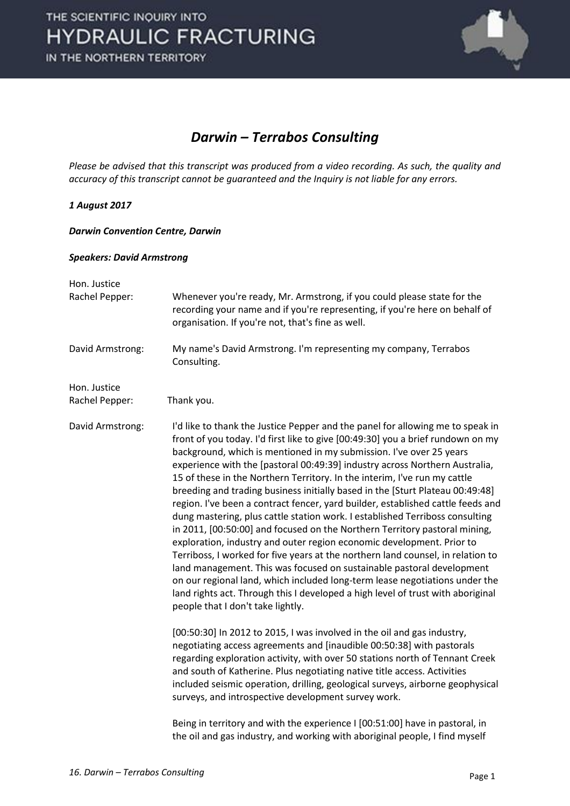

### *Darwin – Terrabos Consulting*

*Please be advised that this transcript was produced from a video recording. As such, the quality and accuracy of this transcript cannot be guaranteed and the Inquiry is not liable for any errors.*

#### *1 August 2017*

#### *Darwin Convention Centre, Darwin*

#### *Speakers: David Armstrong*

| Hon. Justice<br>Rachel Pepper: | Whenever you're ready, Mr. Armstrong, if you could please state for the<br>recording your name and if you're representing, if you're here on behalf of<br>organisation. If you're not, that's fine as well.                                                                                                                                                                                                                                                                                                                                                                                                                                                                                                                                                                                                                                                                                                                                                                                                                                                                                                                                                                        |
|--------------------------------|------------------------------------------------------------------------------------------------------------------------------------------------------------------------------------------------------------------------------------------------------------------------------------------------------------------------------------------------------------------------------------------------------------------------------------------------------------------------------------------------------------------------------------------------------------------------------------------------------------------------------------------------------------------------------------------------------------------------------------------------------------------------------------------------------------------------------------------------------------------------------------------------------------------------------------------------------------------------------------------------------------------------------------------------------------------------------------------------------------------------------------------------------------------------------------|
| David Armstrong:               | My name's David Armstrong. I'm representing my company, Terrabos<br>Consulting.                                                                                                                                                                                                                                                                                                                                                                                                                                                                                                                                                                                                                                                                                                                                                                                                                                                                                                                                                                                                                                                                                                    |
| Hon. Justice<br>Rachel Pepper: | Thank you.                                                                                                                                                                                                                                                                                                                                                                                                                                                                                                                                                                                                                                                                                                                                                                                                                                                                                                                                                                                                                                                                                                                                                                         |
| David Armstrong:               | I'd like to thank the Justice Pepper and the panel for allowing me to speak in<br>front of you today. I'd first like to give [00:49:30] you a brief rundown on my<br>background, which is mentioned in my submission. I've over 25 years<br>experience with the [pastoral 00:49:39] industry across Northern Australia,<br>15 of these in the Northern Territory. In the interim, I've run my cattle<br>breeding and trading business initially based in the [Sturt Plateau 00:49:48]<br>region. I've been a contract fencer, yard builder, established cattle feeds and<br>dung mastering, plus cattle station work. I established Terriboss consulting<br>in 2011, [00:50:00] and focused on the Northern Territory pastoral mining,<br>exploration, industry and outer region economic development. Prior to<br>Terriboss, I worked for five years at the northern land counsel, in relation to<br>land management. This was focused on sustainable pastoral development<br>on our regional land, which included long-term lease negotiations under the<br>land rights act. Through this I developed a high level of trust with aboriginal<br>people that I don't take lightly. |
|                                | [00:50:30] In 2012 to 2015, I was involved in the oil and gas industry,<br>negotiating access agreements and [inaudible 00:50:38] with pastorals<br>regarding exploration activity, with over 50 stations north of Tennant Creek<br>and south of Katherine. Plus negotiating native title access. Activities<br>included seismic operation, drilling, geological surveys, airborne geophysical<br>surveys, and introspective development survey work.                                                                                                                                                                                                                                                                                                                                                                                                                                                                                                                                                                                                                                                                                                                              |
|                                | Being in territory and with the experience I [00:51:00] have in pastoral, in<br>the oil and gas industry, and working with aboriginal people, I find myself                                                                                                                                                                                                                                                                                                                                                                                                                                                                                                                                                                                                                                                                                                                                                                                                                                                                                                                                                                                                                        |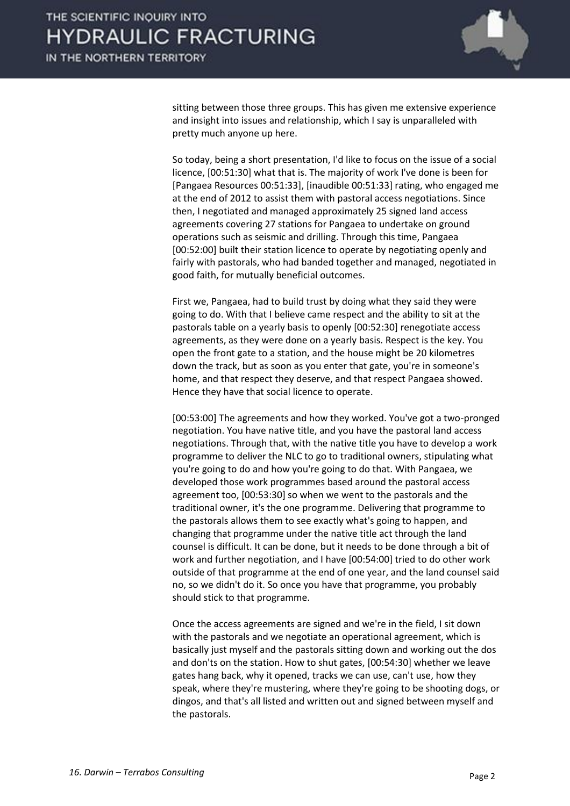

sitting between those three groups. This has given me extensive experience and insight into issues and relationship, which I say is unparalleled with pretty much anyone up here.

So today, being a short presentation, I'd like to focus on the issue of a social licence, [00:51:30] what that is. The majority of work I've done is been for [Pangaea Resources 00:51:33], [inaudible 00:51:33] rating, who engaged me at the end of 2012 to assist them with pastoral access negotiations. Since then, I negotiated and managed approximately 25 signed land access agreements covering 27 stations for Pangaea to undertake on ground operations such as seismic and drilling. Through this time, Pangaea [00:52:00] built their station licence to operate by negotiating openly and fairly with pastorals, who had banded together and managed, negotiated in good faith, for mutually beneficial outcomes.

First we, Pangaea, had to build trust by doing what they said they were going to do. With that I believe came respect and the ability to sit at the pastorals table on a yearly basis to openly [00:52:30] renegotiate access agreements, as they were done on a yearly basis. Respect is the key. You open the front gate to a station, and the house might be 20 kilometres down the track, but as soon as you enter that gate, you're in someone's home, and that respect they deserve, and that respect Pangaea showed. Hence they have that social licence to operate.

[00:53:00] The agreements and how they worked. You've got a two-pronged negotiation. You have native title, and you have the pastoral land access negotiations. Through that, with the native title you have to develop a work programme to deliver the NLC to go to traditional owners, stipulating what you're going to do and how you're going to do that. With Pangaea, we developed those work programmes based around the pastoral access agreement too, [00:53:30] so when we went to the pastorals and the traditional owner, it's the one programme. Delivering that programme to the pastorals allows them to see exactly what's going to happen, and changing that programme under the native title act through the land counsel is difficult. It can be done, but it needs to be done through a bit of work and further negotiation, and I have [00:54:00] tried to do other work outside of that programme at the end of one year, and the land counsel said no, so we didn't do it. So once you have that programme, you probably should stick to that programme.

Once the access agreements are signed and we're in the field, I sit down with the pastorals and we negotiate an operational agreement, which is basically just myself and the pastorals sitting down and working out the dos and don'ts on the station. How to shut gates, [00:54:30] whether we leave gates hang back, why it opened, tracks we can use, can't use, how they speak, where they're mustering, where they're going to be shooting dogs, or dingos, and that's all listed and written out and signed between myself and the pastorals.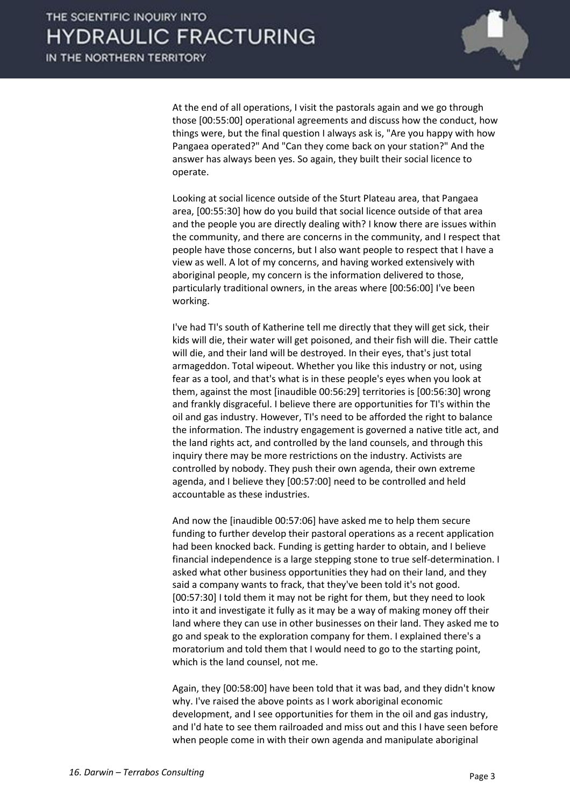

At the end of all operations, I visit the pastorals again and we go through those [00:55:00] operational agreements and discuss how the conduct, how things were, but the final question I always ask is, "Are you happy with how Pangaea operated?" And "Can they come back on your station?" And the answer has always been yes. So again, they built their social licence to operate.

Looking at social licence outside of the Sturt Plateau area, that Pangaea area, [00:55:30] how do you build that social licence outside of that area and the people you are directly dealing with? I know there are issues within the community, and there are concerns in the community, and I respect that people have those concerns, but I also want people to respect that I have a view as well. A lot of my concerns, and having worked extensively with aboriginal people, my concern is the information delivered to those, particularly traditional owners, in the areas where [00:56:00] I've been working.

I've had TI's south of Katherine tell me directly that they will get sick, their kids will die, their water will get poisoned, and their fish will die. Their cattle will die, and their land will be destroyed. In their eyes, that's just total armageddon. Total wipeout. Whether you like this industry or not, using fear as a tool, and that's what is in these people's eyes when you look at them, against the most [inaudible 00:56:29] territories is [00:56:30] wrong and frankly disgraceful. I believe there are opportunities for TI's within the oil and gas industry. However, TI's need to be afforded the right to balance the information. The industry engagement is governed a native title act, and the land rights act, and controlled by the land counsels, and through this inquiry there may be more restrictions on the industry. Activists are controlled by nobody. They push their own agenda, their own extreme agenda, and I believe they [00:57:00] need to be controlled and held accountable as these industries.

And now the [inaudible 00:57:06] have asked me to help them secure funding to further develop their pastoral operations as a recent application had been knocked back. Funding is getting harder to obtain, and I believe financial independence is a large stepping stone to true self-determination. I asked what other business opportunities they had on their land, and they said a company wants to frack, that they've been told it's not good. [00:57:30] I told them it may not be right for them, but they need to look into it and investigate it fully as it may be a way of making money off their land where they can use in other businesses on their land. They asked me to go and speak to the exploration company for them. I explained there's a moratorium and told them that I would need to go to the starting point, which is the land counsel, not me.

Again, they [00:58:00] have been told that it was bad, and they didn't know why. I've raised the above points as I work aboriginal economic development, and I see opportunities for them in the oil and gas industry, and I'd hate to see them railroaded and miss out and this I have seen before when people come in with their own agenda and manipulate aboriginal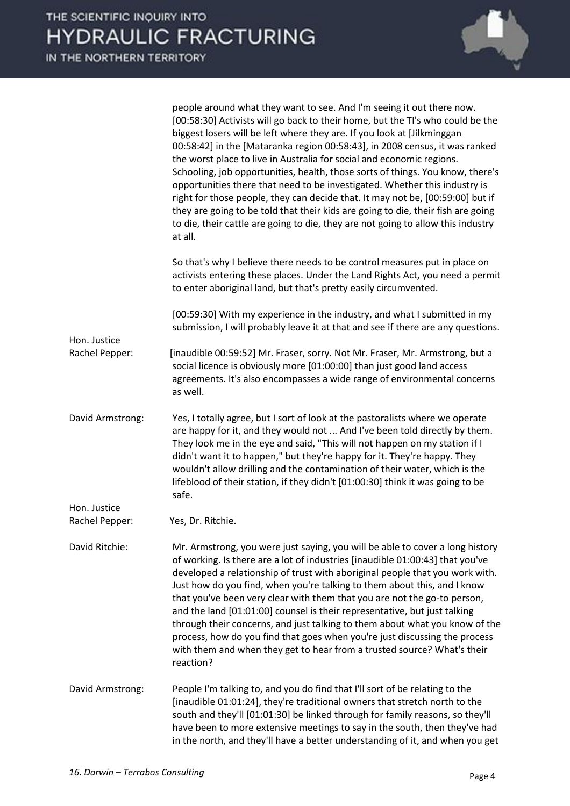

|                                | people around what they want to see. And I'm seeing it out there now.<br>[00:58:30] Activists will go back to their home, but the TI's who could be the<br>biggest losers will be left where they are. If you look at [Jilkminggan<br>00:58:42] in the [Mataranka region 00:58:43], in 2008 census, it was ranked<br>the worst place to live in Australia for social and economic regions.<br>Schooling, job opportunities, health, those sorts of things. You know, there's<br>opportunities there that need to be investigated. Whether this industry is<br>right for those people, they can decide that. It may not be, [00:59:00] but if<br>they are going to be told that their kids are going to die, their fish are going<br>to die, their cattle are going to die, they are not going to allow this industry<br>at all. |
|--------------------------------|---------------------------------------------------------------------------------------------------------------------------------------------------------------------------------------------------------------------------------------------------------------------------------------------------------------------------------------------------------------------------------------------------------------------------------------------------------------------------------------------------------------------------------------------------------------------------------------------------------------------------------------------------------------------------------------------------------------------------------------------------------------------------------------------------------------------------------|
|                                | So that's why I believe there needs to be control measures put in place on<br>activists entering these places. Under the Land Rights Act, you need a permit<br>to enter aboriginal land, but that's pretty easily circumvented.                                                                                                                                                                                                                                                                                                                                                                                                                                                                                                                                                                                                 |
| Hon. Justice<br>Rachel Pepper: | [00:59:30] With my experience in the industry, and what I submitted in my<br>submission, I will probably leave it at that and see if there are any questions.                                                                                                                                                                                                                                                                                                                                                                                                                                                                                                                                                                                                                                                                   |
|                                | [inaudible 00:59:52] Mr. Fraser, sorry. Not Mr. Fraser, Mr. Armstrong, but a<br>social licence is obviously more [01:00:00] than just good land access<br>agreements. It's also encompasses a wide range of environmental concerns<br>as well.                                                                                                                                                                                                                                                                                                                                                                                                                                                                                                                                                                                  |
| David Armstrong:               | Yes, I totally agree, but I sort of look at the pastoralists where we operate<br>are happy for it, and they would not  And I've been told directly by them.<br>They look me in the eye and said, "This will not happen on my station if I<br>didn't want it to happen," but they're happy for it. They're happy. They<br>wouldn't allow drilling and the contamination of their water, which is the<br>lifeblood of their station, if they didn't [01:00:30] think it was going to be<br>safe.                                                                                                                                                                                                                                                                                                                                  |
| Hon. Justice                   |                                                                                                                                                                                                                                                                                                                                                                                                                                                                                                                                                                                                                                                                                                                                                                                                                                 |
| Rachel Pepper:                 | Yes, Dr. Ritchie.                                                                                                                                                                                                                                                                                                                                                                                                                                                                                                                                                                                                                                                                                                                                                                                                               |
| David Ritchie:                 | Mr. Armstrong, you were just saying, you will be able to cover a long history<br>of working. Is there are a lot of industries [inaudible 01:00:43] that you've<br>developed a relationship of trust with aboriginal people that you work with.<br>Just how do you find, when you're talking to them about this, and I know<br>that you've been very clear with them that you are not the go-to person,<br>and the land [01:01:00] counsel is their representative, but just talking<br>through their concerns, and just talking to them about what you know of the<br>process, how do you find that goes when you're just discussing the process<br>with them and when they get to hear from a trusted source? What's their<br>reaction?                                                                                        |
| David Armstrong:               | People I'm talking to, and you do find that I'll sort of be relating to the<br>[inaudible 01:01:24], they're traditional owners that stretch north to the<br>south and they'll [01:01:30] be linked through for family reasons, so they'll<br>have been to more extensive meetings to say in the south, then they've had<br>in the north, and they'll have a better understanding of it, and when you get                                                                                                                                                                                                                                                                                                                                                                                                                       |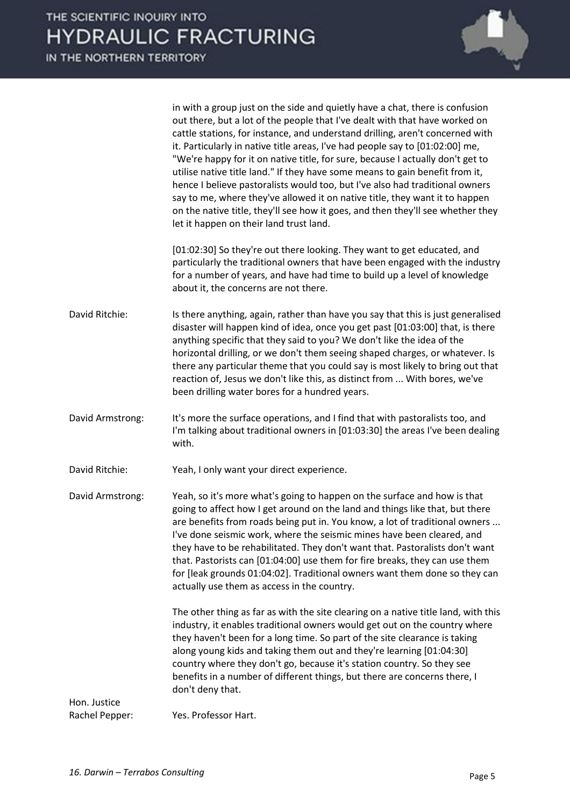

in with a group just on the side and quietly have a chat, there is confusion out there, but a lot of the people that I've dealt with that have worked on cattle stations, for instance, and understand drilling, aren't concerned with it. Particularly in native title areas, I've had people say to [01:02:00] me, "We're happy for it on native title, for sure, because I actually don't get to utilise native title land." If they have some means to gain benefit from it, hence I believe pastoralists would too, but I've also had traditional owners say to me, where they've allowed it on native title, they want it to happen on the native title, they'll see how it goes, and then they'll see whether they let it happen on their land trust land.

[01:02:30] So they're out there looking. They want to get educated, and particularly the traditional owners that have been engaged with the industry for a number of years, and have had time to build up a level of knowledge about it, the concerns are not there.

- David Ritchie: Is there anything, again, rather than have you say that this is just generalised disaster will happen kind of idea, once you get past [01:03:00] that, is there anything specific that they said to you? We don't like the idea of the horizontal drilling, or we don't them seeing shaped charges, or whatever. Is there any particular theme that you could say is most likely to bring out that reaction of, Jesus we don't like this, as distinct from ... With bores, we've been drilling water bores for a hundred years.
- David Armstrong: It's more the surface operations, and I find that with pastoralists too, and I'm talking about traditional owners in [01:03:30] the areas I've been dealing with.

David Ritchie: Yeah, I only want your direct experience.

David Armstrong: Yeah, so it's more what's going to happen on the surface and how is that going to affect how I get around on the land and things like that, but there are benefits from roads being put in. You know, a lot of traditional owners ... I've done seismic work, where the seismic mines have been cleared, and they have to be rehabilitated. They don't want that. Pastoralists don't want that. Pastorists can [01:04:00] use them for fire breaks, they can use them for [leak grounds 01:04:02]. Traditional owners want them done so they can actually use them as access in the country.

> The other thing as far as with the site clearing on a native title land, with this industry, it enables traditional owners would get out on the country where they haven't been for a long time. So part of the site clearance is taking along young kids and taking them out and they're learning [01:04:30] country where they don't go, because it's station country. So they see benefits in a number of different things, but there are concerns there, I don't deny that.

Hon. Justice Rachel Pepper: Yes. Professor Hart.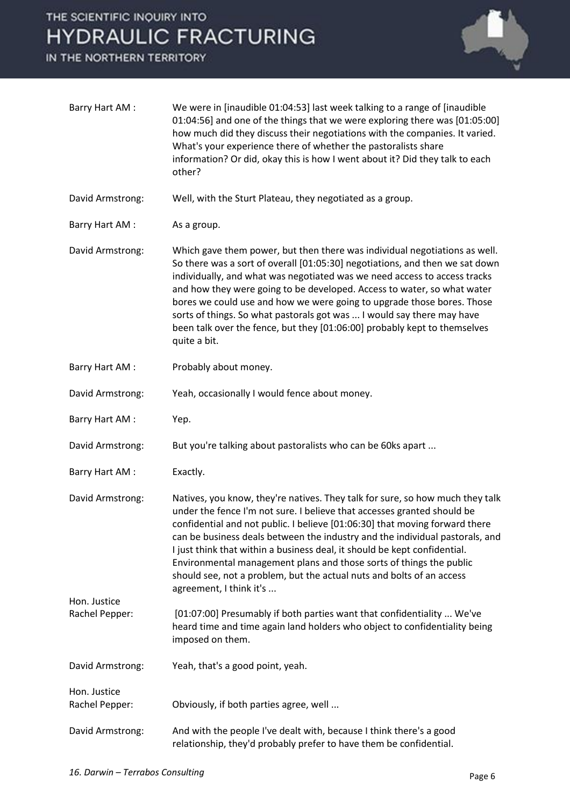IN THE NORTHERN TERRITORY



| Barry Hart AM:                 | We were in [inaudible 01:04:53] last week talking to a range of [inaudible<br>01:04:56] and one of the things that we were exploring there was [01:05:00]<br>how much did they discuss their negotiations with the companies. It varied.<br>What's your experience there of whether the pastoralists share<br>information? Or did, okay this is how I went about it? Did they talk to each<br>other?                                                                                                                                                                            |
|--------------------------------|---------------------------------------------------------------------------------------------------------------------------------------------------------------------------------------------------------------------------------------------------------------------------------------------------------------------------------------------------------------------------------------------------------------------------------------------------------------------------------------------------------------------------------------------------------------------------------|
| David Armstrong:               | Well, with the Sturt Plateau, they negotiated as a group.                                                                                                                                                                                                                                                                                                                                                                                                                                                                                                                       |
| Barry Hart AM:                 | As a group.                                                                                                                                                                                                                                                                                                                                                                                                                                                                                                                                                                     |
| David Armstrong:               | Which gave them power, but then there was individual negotiations as well.<br>So there was a sort of overall [01:05:30] negotiations, and then we sat down<br>individually, and what was negotiated was we need access to access tracks<br>and how they were going to be developed. Access to water, so what water<br>bores we could use and how we were going to upgrade those bores. Those<br>sorts of things. So what pastorals got was  I would say there may have<br>been talk over the fence, but they [01:06:00] probably kept to themselves<br>quite a bit.             |
| Barry Hart AM:                 | Probably about money.                                                                                                                                                                                                                                                                                                                                                                                                                                                                                                                                                           |
| David Armstrong:               | Yeah, occasionally I would fence about money.                                                                                                                                                                                                                                                                                                                                                                                                                                                                                                                                   |
| Barry Hart AM:                 | Yep.                                                                                                                                                                                                                                                                                                                                                                                                                                                                                                                                                                            |
| David Armstrong:               | But you're talking about pastoralists who can be 60ks apart                                                                                                                                                                                                                                                                                                                                                                                                                                                                                                                     |
| Barry Hart AM:                 | Exactly.                                                                                                                                                                                                                                                                                                                                                                                                                                                                                                                                                                        |
| David Armstrong:               | Natives, you know, they're natives. They talk for sure, so how much they talk<br>under the fence I'm not sure. I believe that accesses granted should be<br>confidential and not public. I believe [01:06:30] that moving forward there<br>can be business deals between the industry and the individual pastorals, and<br>I just think that within a business deal, it should be kept confidential.<br>Environmental management plans and those sorts of things the public<br>should see, not a problem, but the actual nuts and bolts of an access<br>agreement, I think it's |
| Hon. Justice<br>Rachel Pepper: | [01:07:00] Presumably if both parties want that confidentiality  We've<br>heard time and time again land holders who object to confidentiality being<br>imposed on them.                                                                                                                                                                                                                                                                                                                                                                                                        |
| David Armstrong:               | Yeah, that's a good point, yeah.                                                                                                                                                                                                                                                                                                                                                                                                                                                                                                                                                |
| Hon. Justice<br>Rachel Pepper: | Obviously, if both parties agree, well                                                                                                                                                                                                                                                                                                                                                                                                                                                                                                                                          |
|                                |                                                                                                                                                                                                                                                                                                                                                                                                                                                                                                                                                                                 |
| David Armstrong:               | And with the people I've dealt with, because I think there's a good<br>relationship, they'd probably prefer to have them be confidential.                                                                                                                                                                                                                                                                                                                                                                                                                                       |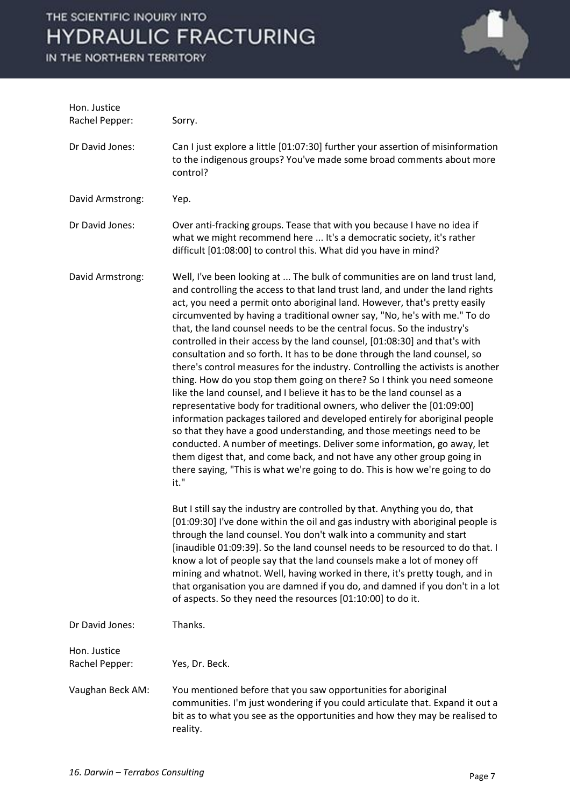IN THE NORTHERN TERRITORY



| Hon. Justice<br>Rachel Pepper: | Sorry.                                                                                                                                                                                                                                                                                                                                                                                                                                                                                                                                                                                                                                                                                                                                                                                                                                                                                                                                                                                                                                                                                                                                                                                                                                                                                                                                                                                                                                                                                                                                                                                                       |
|--------------------------------|--------------------------------------------------------------------------------------------------------------------------------------------------------------------------------------------------------------------------------------------------------------------------------------------------------------------------------------------------------------------------------------------------------------------------------------------------------------------------------------------------------------------------------------------------------------------------------------------------------------------------------------------------------------------------------------------------------------------------------------------------------------------------------------------------------------------------------------------------------------------------------------------------------------------------------------------------------------------------------------------------------------------------------------------------------------------------------------------------------------------------------------------------------------------------------------------------------------------------------------------------------------------------------------------------------------------------------------------------------------------------------------------------------------------------------------------------------------------------------------------------------------------------------------------------------------------------------------------------------------|
| Dr David Jones:                | Can I just explore a little [01:07:30] further your assertion of misinformation<br>to the indigenous groups? You've made some broad comments about more<br>control?                                                                                                                                                                                                                                                                                                                                                                                                                                                                                                                                                                                                                                                                                                                                                                                                                                                                                                                                                                                                                                                                                                                                                                                                                                                                                                                                                                                                                                          |
| David Armstrong:               | Yep.                                                                                                                                                                                                                                                                                                                                                                                                                                                                                                                                                                                                                                                                                                                                                                                                                                                                                                                                                                                                                                                                                                                                                                                                                                                                                                                                                                                                                                                                                                                                                                                                         |
| Dr David Jones:                | Over anti-fracking groups. Tease that with you because I have no idea if<br>what we might recommend here  It's a democratic society, it's rather<br>difficult [01:08:00] to control this. What did you have in mind?                                                                                                                                                                                                                                                                                                                                                                                                                                                                                                                                                                                                                                                                                                                                                                                                                                                                                                                                                                                                                                                                                                                                                                                                                                                                                                                                                                                         |
| David Armstrong:               | Well, I've been looking at  The bulk of communities are on land trust land,<br>and controlling the access to that land trust land, and under the land rights<br>act, you need a permit onto aboriginal land. However, that's pretty easily<br>circumvented by having a traditional owner say, "No, he's with me." To do<br>that, the land counsel needs to be the central focus. So the industry's<br>controlled in their access by the land counsel, [01:08:30] and that's with<br>consultation and so forth. It has to be done through the land counsel, so<br>there's control measures for the industry. Controlling the activists is another<br>thing. How do you stop them going on there? So I think you need someone<br>like the land counsel, and I believe it has to be the land counsel as a<br>representative body for traditional owners, who deliver the [01:09:00]<br>information packages tailored and developed entirely for aboriginal people<br>so that they have a good understanding, and those meetings need to be<br>conducted. A number of meetings. Deliver some information, go away, let<br>them digest that, and come back, and not have any other group going in<br>there saying, "This is what we're going to do. This is how we're going to do<br>it."<br>But I still say the industry are controlled by that. Anything you do, that<br>[01:09:30] I've done within the oil and gas industry with aboriginal people is<br>through the land counsel. You don't walk into a community and start<br>[inaudible 01:09:39]. So the land counsel needs to be resourced to do that. I |
|                                | know a lot of people say that the land counsels make a lot of money off<br>mining and whatnot. Well, having worked in there, it's pretty tough, and in<br>that organisation you are damned if you do, and damned if you don't in a lot<br>of aspects. So they need the resources [01:10:00] to do it.                                                                                                                                                                                                                                                                                                                                                                                                                                                                                                                                                                                                                                                                                                                                                                                                                                                                                                                                                                                                                                                                                                                                                                                                                                                                                                        |
| Dr David Jones:                | Thanks.                                                                                                                                                                                                                                                                                                                                                                                                                                                                                                                                                                                                                                                                                                                                                                                                                                                                                                                                                                                                                                                                                                                                                                                                                                                                                                                                                                                                                                                                                                                                                                                                      |
| Hon. Justice<br>Rachel Pepper: | Yes, Dr. Beck.                                                                                                                                                                                                                                                                                                                                                                                                                                                                                                                                                                                                                                                                                                                                                                                                                                                                                                                                                                                                                                                                                                                                                                                                                                                                                                                                                                                                                                                                                                                                                                                               |
| Vaughan Beck AM:               | You mentioned before that you saw opportunities for aboriginal<br>communities. I'm just wondering if you could articulate that. Expand it out a<br>bit as to what you see as the opportunities and how they may be realised to<br>reality.                                                                                                                                                                                                                                                                                                                                                                                                                                                                                                                                                                                                                                                                                                                                                                                                                                                                                                                                                                                                                                                                                                                                                                                                                                                                                                                                                                   |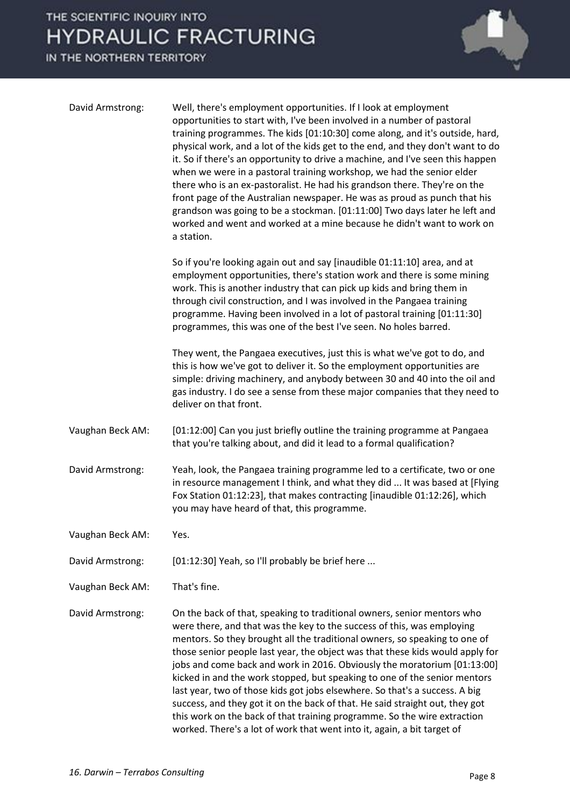IN THE NORTHERN TERRITORY



| David Armstrong: | Well, there's employment opportunities. If I look at employment<br>opportunities to start with, I've been involved in a number of pastoral<br>training programmes. The kids [01:10:30] come along, and it's outside, hard,<br>physical work, and a lot of the kids get to the end, and they don't want to do<br>it. So if there's an opportunity to drive a machine, and I've seen this happen<br>when we were in a pastoral training workshop, we had the senior elder<br>there who is an ex-pastoralist. He had his grandson there. They're on the<br>front page of the Australian newspaper. He was as proud as punch that his<br>grandson was going to be a stockman. [01:11:00] Two days later he left and<br>worked and went and worked at a mine because he didn't want to work on<br>a station. |
|------------------|---------------------------------------------------------------------------------------------------------------------------------------------------------------------------------------------------------------------------------------------------------------------------------------------------------------------------------------------------------------------------------------------------------------------------------------------------------------------------------------------------------------------------------------------------------------------------------------------------------------------------------------------------------------------------------------------------------------------------------------------------------------------------------------------------------|
|                  | So if you're looking again out and say [inaudible 01:11:10] area, and at<br>employment opportunities, there's station work and there is some mining<br>work. This is another industry that can pick up kids and bring them in<br>through civil construction, and I was involved in the Pangaea training<br>programme. Having been involved in a lot of pastoral training [01:11:30]<br>programmes, this was one of the best I've seen. No holes barred.                                                                                                                                                                                                                                                                                                                                                 |
|                  | They went, the Pangaea executives, just this is what we've got to do, and<br>this is how we've got to deliver it. So the employment opportunities are<br>simple: driving machinery, and anybody between 30 and 40 into the oil and<br>gas industry. I do see a sense from these major companies that they need to<br>deliver on that front.                                                                                                                                                                                                                                                                                                                                                                                                                                                             |
| Vaughan Beck AM: | [01:12:00] Can you just briefly outline the training programme at Pangaea<br>that you're talking about, and did it lead to a formal qualification?                                                                                                                                                                                                                                                                                                                                                                                                                                                                                                                                                                                                                                                      |
| David Armstrong: | Yeah, look, the Pangaea training programme led to a certificate, two or one<br>in resource management I think, and what they did  It was based at [Flying<br>Fox Station 01:12:23], that makes contracting [inaudible 01:12:26], which<br>you may have heard of that, this programme.                                                                                                                                                                                                                                                                                                                                                                                                                                                                                                                   |
| Vaughan Beck AM: | Yes.                                                                                                                                                                                                                                                                                                                                                                                                                                                                                                                                                                                                                                                                                                                                                                                                    |
| David Armstrong: | [01:12:30] Yeah, so I'll probably be brief here                                                                                                                                                                                                                                                                                                                                                                                                                                                                                                                                                                                                                                                                                                                                                         |
| Vaughan Beck AM: | That's fine.                                                                                                                                                                                                                                                                                                                                                                                                                                                                                                                                                                                                                                                                                                                                                                                            |
| David Armstrong: | On the back of that, speaking to traditional owners, senior mentors who<br>were there, and that was the key to the success of this, was employing<br>mentors. So they brought all the traditional owners, so speaking to one of<br>those senior people last year, the object was that these kids would apply for<br>jobs and come back and work in 2016. Obviously the moratorium [01:13:00]<br>kicked in and the work stopped, but speaking to one of the senior mentors<br>last year, two of those kids got jobs elsewhere. So that's a success. A big<br>success, and they got it on the back of that. He said straight out, they got<br>this work on the back of that training programme. So the wire extraction<br>worked. There's a lot of work that went into it, again, a bit target of         |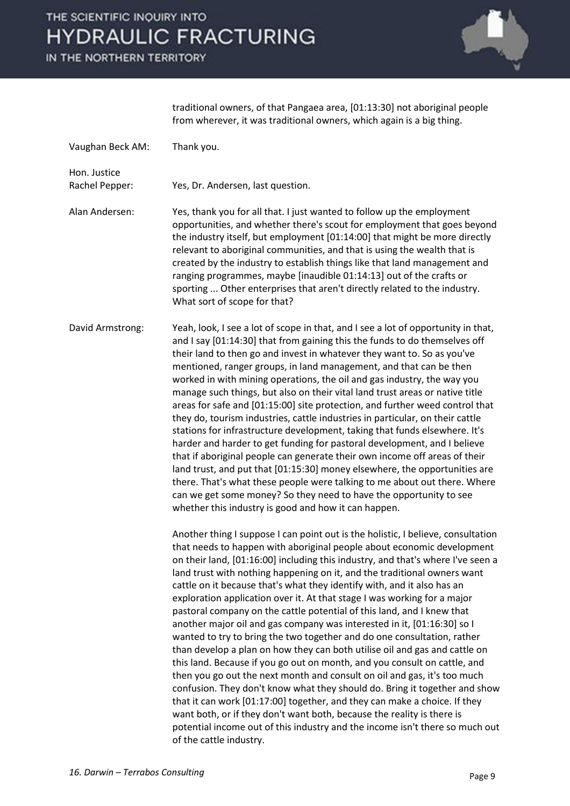IN THE NORTHERN TERRITORY



traditional owners, of that Pangaea area, [01:13:30] not aboriginal people from wherever, it was traditional owners, which again is a big thing.

| Vaughan Beck AM:               | Thank you.                                                                                                                                                                                                                                                                                                                                                                                                                                                                                                                                                                                                                                                                                                                                                                                                                                                                                                                                                                                                                                                                                                                                                                                                                                                                                              |
|--------------------------------|---------------------------------------------------------------------------------------------------------------------------------------------------------------------------------------------------------------------------------------------------------------------------------------------------------------------------------------------------------------------------------------------------------------------------------------------------------------------------------------------------------------------------------------------------------------------------------------------------------------------------------------------------------------------------------------------------------------------------------------------------------------------------------------------------------------------------------------------------------------------------------------------------------------------------------------------------------------------------------------------------------------------------------------------------------------------------------------------------------------------------------------------------------------------------------------------------------------------------------------------------------------------------------------------------------|
| Hon. Justice<br>Rachel Pepper: | Yes, Dr. Andersen, last question.                                                                                                                                                                                                                                                                                                                                                                                                                                                                                                                                                                                                                                                                                                                                                                                                                                                                                                                                                                                                                                                                                                                                                                                                                                                                       |
| Alan Andersen:                 | Yes, thank you for all that. I just wanted to follow up the employment<br>opportunities, and whether there's scout for employment that goes beyond<br>the industry itself, but employment [01:14:00] that might be more directly<br>relevant to aboriginal communities, and that is using the wealth that is<br>created by the industry to establish things like that land management and<br>ranging programmes, maybe [inaudible 01:14:13] out of the crafts or<br>sporting  Other enterprises that aren't directly related to the industry.<br>What sort of scope for that?                                                                                                                                                                                                                                                                                                                                                                                                                                                                                                                                                                                                                                                                                                                           |
| David Armstrong:               | Yeah, look, I see a lot of scope in that, and I see a lot of opportunity in that,<br>and I say [01:14:30] that from gaining this the funds to do themselves off<br>their land to then go and invest in whatever they want to. So as you've<br>mentioned, ranger groups, in land management, and that can be then<br>worked in with mining operations, the oil and gas industry, the way you<br>manage such things, but also on their vital land trust areas or native title<br>areas for safe and [01:15:00] site protection, and further weed control that<br>they do, tourism industries, cattle industries in particular, on their cattle<br>stations for infrastructure development, taking that funds elsewhere. It's<br>harder and harder to get funding for pastoral development, and I believe<br>that if aboriginal people can generate their own income off areas of their<br>land trust, and put that [01:15:30] money elsewhere, the opportunities are<br>there. That's what these people were talking to me about out there. Where<br>can we get some money? So they need to have the opportunity to see<br>whether this industry is good and how it can happen.                                                                                                                           |
|                                | Another thing I suppose I can point out is the holistic, I believe, consultation<br>that needs to happen with aboriginal people about economic development<br>on their land, [01:16:00] including this industry, and that's where I've seen a<br>land trust with nothing happening on it, and the traditional owners want<br>cattle on it because that's what they identify with, and it also has an<br>exploration application over it. At that stage I was working for a major<br>pastoral company on the cattle potential of this land, and I knew that<br>another major oil and gas company was interested in it, [01:16:30] so I<br>wanted to try to bring the two together and do one consultation, rather<br>than develop a plan on how they can both utilise oil and gas and cattle on<br>this land. Because if you go out on month, and you consult on cattle, and<br>then you go out the next month and consult on oil and gas, it's too much<br>confusion. They don't know what they should do. Bring it together and show<br>that it can work [01:17:00] together, and they can make a choice. If they<br>want both, or if they don't want both, because the reality is there is<br>potential income out of this industry and the income isn't there so much out<br>of the cattle industry. |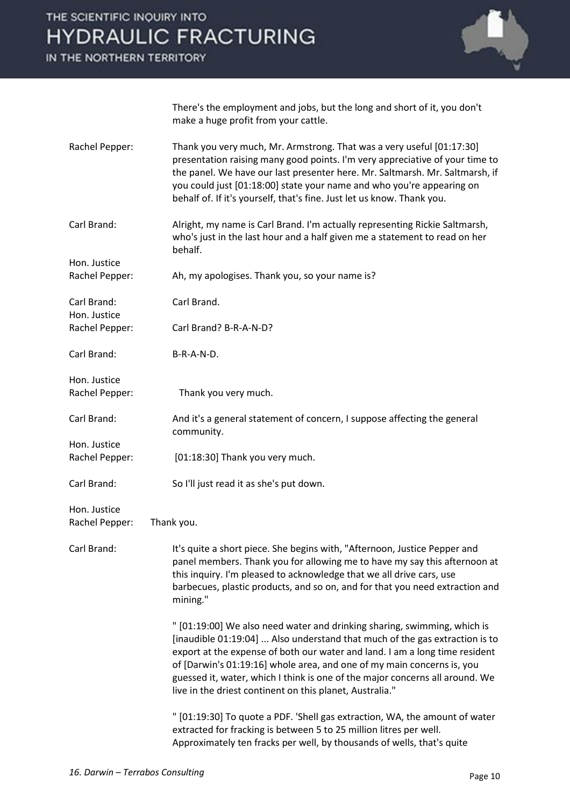IN THE NORTHERN TERRITORY



There's the employment and jobs, but the long and short of it, you don't make a huge profit from your cattle.

Rachel Pepper: Thank you very much, Mr. Armstrong. That was a very useful [01:17:30] presentation raising many good points. I'm very appreciative of your time to the panel. We have our last presenter here. Mr. Saltmarsh. Mr. Saltmarsh, if you could just [01:18:00] state your name and who you're appearing on behalf of. If it's yourself, that's fine. Just let us know. Thank you. Carl Brand: Alright, my name is Carl Brand. I'm actually representing Rickie Saltmarsh, who's just in the last hour and a half given me a statement to read on her behalf. Hon. Justice Rachel Pepper: Ah, my apologises. Thank you, so your name is? Carl Brand: Carl Brand. Hon. Justice Rachel Pepper: Carl Brand? B-R-A-N-D? Carl Brand: B-R-A-N-D. Hon. Justice Rachel Pepper: Thank you very much. Carl Brand: And it's a general statement of concern, I suppose affecting the general community. Hon. Justice Rachel Pepper: [01:18:30] Thank you very much. Carl Brand: So I'll just read it as she's put down. Hon. Justice Rachel Pepper: Thank you. Carl Brand: It's quite a short piece. She begins with, "Afternoon, Justice Pepper and panel members. Thank you for allowing me to have my say this afternoon at this inquiry. I'm pleased to acknowledge that we all drive cars, use barbecues, plastic products, and so on, and for that you need extraction and mining." " [01:19:00] We also need water and drinking sharing, swimming, which is [inaudible 01:19:04] ... Also understand that much of the gas extraction is to export at the expense of both our water and land. I am a long time resident of [Darwin's 01:19:16] whole area, and one of my main concerns is, you guessed it, water, which I think is one of the major concerns all around. We live in the driest continent on this planet, Australia."

> " [01:19:30] To quote a PDF. 'Shell gas extraction, WA, the amount of water extracted for fracking is between 5 to 25 million litres per well. Approximately ten fracks per well, by thousands of wells, that's quite